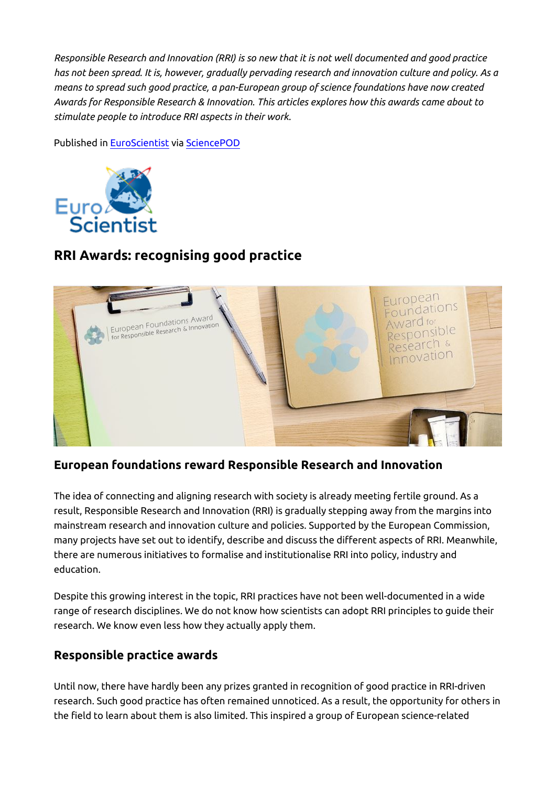*Responsible Research and Innovation (RRI) is so new that it is not well documented and good practice has not been spread. It is, however, gradually pervading research and innovation culture and policy. As a means to spread such good practice, a pan-European group of science foundations have now created Awards for Responsible Research & Innovation. This articles explores how this awards came about to stimulate people to introduce RRI aspects in their work.*

Published in [EuroScientist](http://www.euroscientist.com/rri-awards/) via [SciencePOD](http://www.sciencepod.net)



# **RRI Awards: recognising good practice**



## **European foundations reward Responsible Research and Innovation**

The idea of connecting and aligning research with society is already meeting fertile ground. As a result, Responsible Research and Innovation (RRI) is gradually stepping away from the margins into mainstream research and innovation culture and policies. Supported by the European Commission, many projects have set out to identify, describe and discuss the different aspects of RRI. Meanwhile, there are numerous initiatives to formalise and institutionalise RRI into policy, industry and education.

Despite this growing interest in the topic, RRI practices have not been well-documented in a wide range of research disciplines. We do not know how scientists can adopt RRI principles to guide their research. We know even less how they actually apply them.

### **Responsible practice awards**

Until now, there have hardly been any prizes granted in recognition of good practice in RRI-driven research. Such good practice has often remained unnoticed. As a result, the opportunity for others in the field to learn about them is also limited. This inspired a group of European science-related